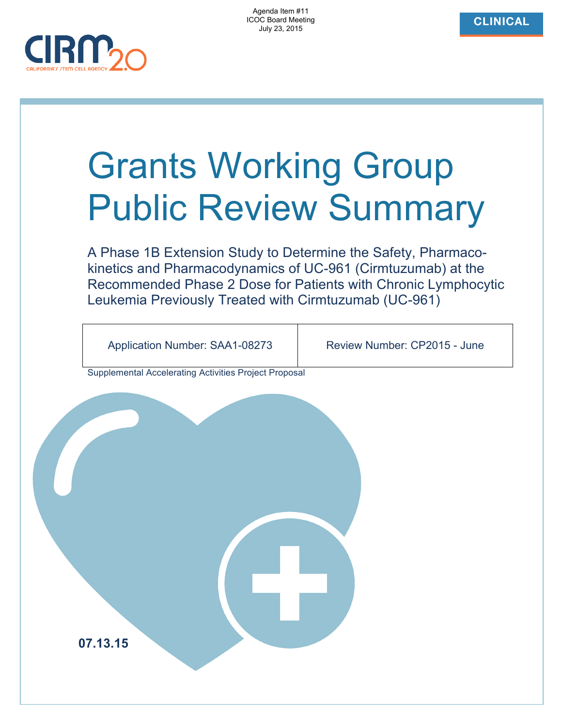Agenda Item #11 ICOC Board Meeting July 23, 2015



# Grants Working Group Public Review Summary

A Phase 1B Extension Study to Determine the Safety, Pharmacokinetics and Pharmacodynamics of UC-961 (Cirmtuzumab) at the Recommended Phase 2 Dose for Patients with Chronic Lymphocytic Leukemia Previously Treated with Cirmtuzumab (UC-961)

Application Number: SAA1-08273 Review Number: CP2015 - June

Supplemental Accelerating Activities Project Proposal

**07.13.15**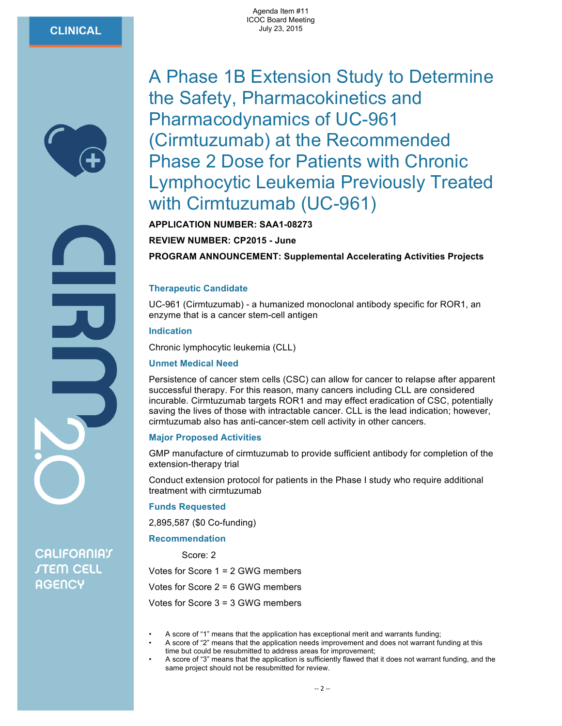# **CLINICAL**



# A Phase 1B Extension Study to Determine the Safety, Pharmacokinetics and Pharmacodynamics of UC-961 (Cirmtuzumab) at the Recommended Phase 2 Dose for Patients with Chronic Lymphocytic Leukemia Previously Treated with Cirmtuzumab (UC-961)

**APPLICATION NUMBER: SAA1-08273**

**REVIEW NUMBER: CP2015 - June**

**PROGRAM ANNOUNCEMENT: Supplemental Accelerating Activities Projects**

### **Therapeutic Candidate**

UC-961 (Cirmtuzumab) - a humanized monoclonal antibody specific for ROR1, an enzyme that is a cancer stem-cell antigen

**Indication**

Chronic lymphocytic leukemia (CLL)

### **Unmet Medical Need**

Persistence of cancer stem cells (CSC) can allow for cancer to relapse after apparent successful therapy. For this reason, many cancers including CLL are considered incurable. Cirmtuzumab targets ROR1 and may effect eradication of CSC, potentially saving the lives of those with intractable cancer. CLL is the lead indication; however, cirmtuzumab also has anti-cancer-stem cell activity in other cancers.

## **Major Proposed Activities**

GMP manufacture of cirmtuzumab to provide sufficient antibody for completion of the extension-therapy trial

Conduct extension protocol for patients in the Phase I study who require additional treatment with cirmtuzumab

### **Funds Requested**

2,895,587 (\$0 Co-funding)

### **Recommendation**

Score: 2 Votes for Score 1 = 2 GWG members Votes for Score 2 = 6 GWG members Votes for Score 3 = 3 GWG members

- A score of "1" means that the application has exceptional merit and warrants funding;
- A score of "2" means that the application needs improvement and does not warrant funding at this time but could be resubmitted to address areas for improvement;
- A score of "3" means that the application is sufficiently flawed that it does not warrant funding, and the same project should not be resubmitted for review.

**CALIFORNIAT STEM CELL AGENCY**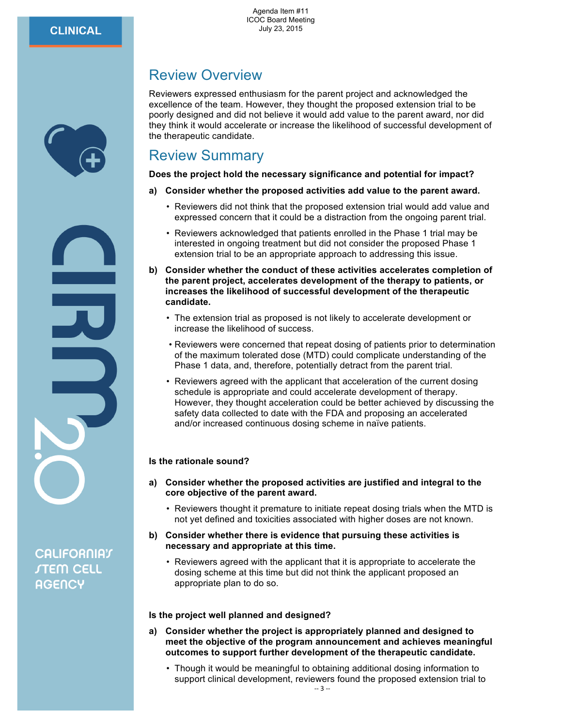# Review Overview

Reviewers expressed enthusiasm for the parent project and acknowledged the excellence of the team. However, they thought the proposed extension trial to be poorly designed and did not believe it would add value to the parent award, nor did they think it would accelerate or increase the likelihood of successful development of the therapeutic candidate.

# Review Summary

**Does the project hold the necessary significance and potential for impact?**

# **a) Consider whether the proposed activities add value to the parent award.**

- Reviewers did not think that the proposed extension trial would add value and expressed concern that it could be a distraction from the ongoing parent trial.
- Reviewers acknowledged that patients enrolled in the Phase 1 trial may be interested in ongoing treatment but did not consider the proposed Phase 1 extension trial to be an appropriate approach to addressing this issue.
- **b) Consider whether the conduct of these activities accelerates completion of the parent project, accelerates development of the therapy to patients, or increases the likelihood of successful development of the therapeutic candidate.**
	- The extension trial as proposed is not likely to accelerate development or increase the likelihood of success.
	- Reviewers were concerned that repeat dosing of patients prior to determination of the maximum tolerated dose (MTD) could complicate understanding of the Phase 1 data, and, therefore, potentially detract from the parent trial.
	- Reviewers agreed with the applicant that acceleration of the current dosing schedule is appropriate and could accelerate development of therapy. However, they thought acceleration could be better achieved by discussing the safety data collected to date with the FDA and proposing an accelerated and/or increased continuous dosing scheme in naïve patients.

# **Is the rationale sound?**

- **a) Consider whether the proposed activities are justified and integral to the core objective of the parent award.**
	- Reviewers thought it premature to initiate repeat dosing trials when the MTD is not yet defined and toxicities associated with higher doses are not known.
- **b) Consider whether there is evidence that pursuing these activities is necessary and appropriate at this time.**
	- Reviewers agreed with the applicant that it is appropriate to accelerate the dosing scheme at this time but did not think the applicant proposed an appropriate plan to do so.

# **Is the project well planned and designed?**

- **a) Consider whether the project is appropriately planned and designed to meet the objective of the program announcement and achieves meaningful outcomes to support further development of the therapeutic candidate.**
	- Though it would be meaningful to obtaining additional dosing information to support clinical development, reviewers found the proposed extension trial to

**CALIFORNIAT STEM CELL AGENCY**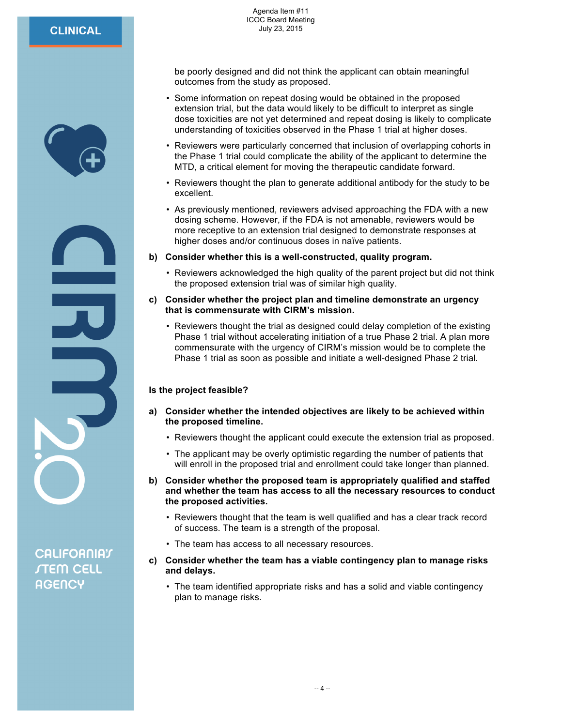

**CALIFORNIAT STEM CELL AGENCY** 

be poorly designed and did not think the applicant can obtain meaningful outcomes from the study as proposed.

- Some information on repeat dosing would be obtained in the proposed extension trial, but the data would likely to be difficult to interpret as single dose toxicities are not yet determined and repeat dosing is likely to complicate understanding of toxicities observed in the Phase 1 trial at higher doses.
- Reviewers were particularly concerned that inclusion of overlapping cohorts in the Phase 1 trial could complicate the ability of the applicant to determine the MTD, a critical element for moving the therapeutic candidate forward.
- Reviewers thought the plan to generate additional antibody for the study to be excellent.
- As previously mentioned, reviewers advised approaching the FDA with a new dosing scheme. However, if the FDA is not amenable, reviewers would be more receptive to an extension trial designed to demonstrate responses at higher doses and/or continuous doses in naïve patients.
- **b) Consider whether this is a well-constructed, quality program.**
	- Reviewers acknowledged the high quality of the parent project but did not think the proposed extension trial was of similar high quality.
- **c) Consider whether the project plan and timeline demonstrate an urgency that is commensurate with CIRM's mission.**
	- Reviewers thought the trial as designed could delay completion of the existing Phase 1 trial without accelerating initiation of a true Phase 2 trial. A plan more commensurate with the urgency of CIRM's mission would be to complete the Phase 1 trial as soon as possible and initiate a well-designed Phase 2 trial.

# **Is the project feasible?**

- **a) Consider whether the intended objectives are likely to be achieved within the proposed timeline.**
	- Reviewers thought the applicant could execute the extension trial as proposed.
	- The applicant may be overly optimistic regarding the number of patients that will enroll in the proposed trial and enrollment could take longer than planned.
- **b) Consider whether the proposed team is appropriately qualified and staffed and whether the team has access to all the necessary resources to conduct the proposed activities.**
	- Reviewers thought that the team is well qualified and has a clear track record of success. The team is a strength of the proposal.
	- The team has access to all necessary resources.
- **c) Consider whether the team has a viable contingency plan to manage risks and delays.**
	- The team identified appropriate risks and has a solid and viable contingency plan to manage risks.